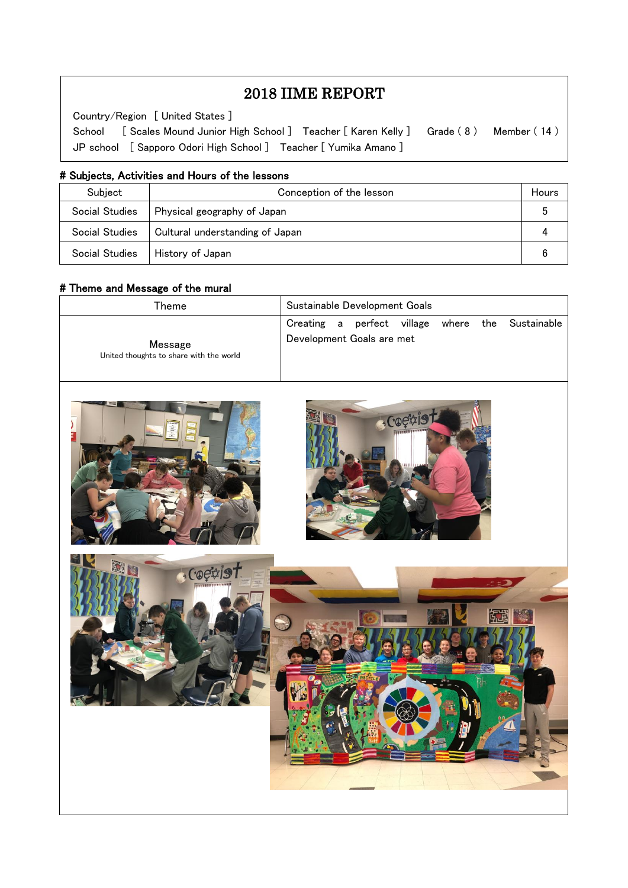# 2018 IIME REPORT

Country/Region [ United States ]

 $\overline{\phantom{a}}$  $\overline{\phantom{a}}$  $\overline{\phantom{a}}$ 

 $\overline{\phantom{a}}$  $\overline{a}$ 

School [ Scales Mound Junior High School ] Teacher [ Karen Kelly ] Grade ( 8 ) Member ( 14 ) JP school [ Sapporo Odori High School ] Teacher [ Yumika Amano ]

#### # Subjects, Activities and Hours of the lessons

| Subject        | Conception of the lesson        |  |
|----------------|---------------------------------|--|
| Social Studies | Physical geography of Japan     |  |
| Social Studies | Cultural understanding of Japan |  |
| Social Studies | History of Japan                |  |

#### # Theme and Message of the mural

| Theme                                   | Sustainable Development Goals                    |
|-----------------------------------------|--------------------------------------------------|
| Message                                 | Creating a perfect village where the Sustainable |
| United thoughts to share with the world | Development Goals are met                        |







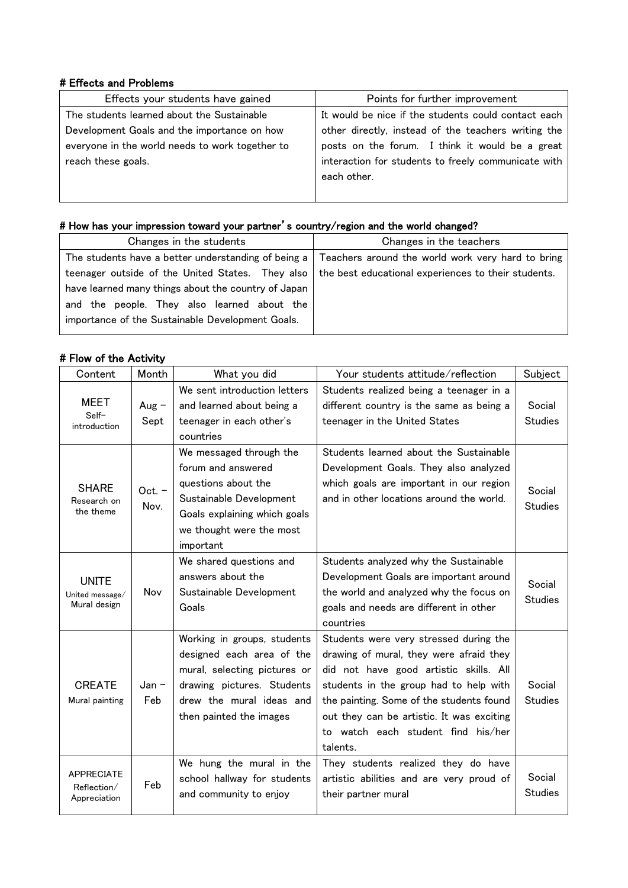#### # Effects and Problems

| Effects your students have gained               | Points for further improvement                      |
|-------------------------------------------------|-----------------------------------------------------|
| The students learned about the Sustainable      | It would be nice if the students could contact each |
| Development Goals and the importance on how     | other directly, instead of the teachers writing the |
| everyone in the world needs to work together to | posts on the forum. I think it would be a great     |
| reach these goals.                              | interaction for students to freely communicate with |
|                                                 | each other.                                         |
|                                                 |                                                     |

#### # How has your impression toward your partner's country/region and the world changed?

| Changes in the students                             | Changes in the teachers                             |
|-----------------------------------------------------|-----------------------------------------------------|
| The students have a better understanding of being a | Teachers around the world work very hard to bring   |
| teenager outside of the United States. They also    | the best educational experiences to their students. |
| have learned many things about the country of Japan |                                                     |
| and the people. They also learned about the         |                                                     |
| importance of the Sustainable Development Goals.    |                                                     |
|                                                     |                                                     |

## # Flow of the Activity

| Content                                          | Month            | What you did                                                                                                                                                                                                                                                                                                                                       | Your students attitude/reflection                                                                                                                                                                                                                                                                                | Subject                  |
|--------------------------------------------------|------------------|----------------------------------------------------------------------------------------------------------------------------------------------------------------------------------------------------------------------------------------------------------------------------------------------------------------------------------------------------|------------------------------------------------------------------------------------------------------------------------------------------------------------------------------------------------------------------------------------------------------------------------------------------------------------------|--------------------------|
| MEET<br>Self-<br>introduction                    | Aug $-$<br>Sept  | We sent introduction letters<br>and learned about being a<br>teenager in each other's<br>countries                                                                                                                                                                                                                                                 | Students realized being a teenager in a<br>different country is the same as being a<br>teenager in the United States                                                                                                                                                                                             | Social<br><b>Studies</b> |
| <b>SHARE</b><br>Research on<br>the theme         | $Oct. -$<br>Nov. | We messaged through the<br>Students learned about the Sustainable<br>forum and answered<br>Development Goals. They also analyzed<br>questions about the<br>which goals are important in our region<br>Sustainable Development<br>and in other locations around the world.<br>Goals explaining which goals<br>we thought were the most<br>important |                                                                                                                                                                                                                                                                                                                  | Social<br><b>Studies</b> |
| <b>UNITE</b><br>United message/<br>Mural design  | Nov              | We shared questions and<br>answers about the<br>Sustainable Development<br>Goals                                                                                                                                                                                                                                                                   | Students analyzed why the Sustainable<br>Development Goals are important around<br>the world and analyzed why the focus on<br>goals and needs are different in other<br>countries                                                                                                                                | Social<br><b>Studies</b> |
| <b>CREATE</b><br>Mural painting                  | $Jan -$<br>Feb   | Working in groups, students<br>designed each area of the<br>mural, selecting pictures or<br>drawing pictures. Students<br>drew the mural ideas and<br>then painted the images                                                                                                                                                                      | Students were very stressed during the<br>drawing of mural, they were afraid they<br>did not have good artistic skills. All<br>students in the group had to help with<br>the painting. Some of the students found<br>out they can be artistic. It was exciting<br>to watch each student find his/her<br>talents. | Social<br><b>Studies</b> |
| <b>APPRECIATE</b><br>Reflection/<br>Appreciation | Feb              | We hung the mural in the<br>school hallway for students<br>and community to enjoy                                                                                                                                                                                                                                                                  | They students realized they do have<br>artistic abilities and are very proud of<br>their partner mural                                                                                                                                                                                                           | Social<br><b>Studies</b> |